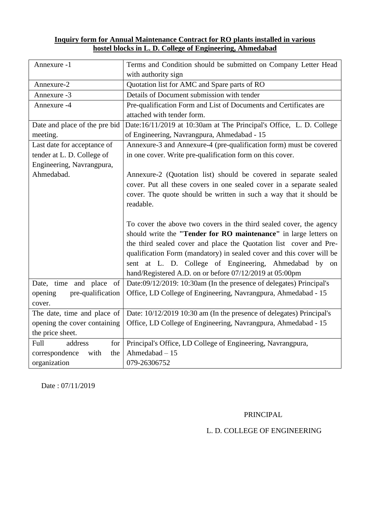### **Inquiry form for Annual Maintenance Contract for RO plants installed in various hostel blocks in L. D. College of Engineering, Ahmedabad**

| Annexure -1                   | Terms and Condition should be submitted on Company Letter Head<br>with authority sign |  |  |
|-------------------------------|---------------------------------------------------------------------------------------|--|--|
| Annexure-2                    | Quotation list for AMC and Spare parts of RO                                          |  |  |
| Annexure -3                   | Details of Document submission with tender                                            |  |  |
| Annexure -4                   | Pre-qualification Form and List of Documents and Certificates are                     |  |  |
|                               | attached with tender form.                                                            |  |  |
| Date and place of the pre bid | Date:16/11/2019 at 10:30am at The Principal's Office, L. D. College                   |  |  |
| meeting.                      | of Engineering, Navrangpura, Ahmedabad - 15                                           |  |  |
| Last date for acceptance of   | Annexure-3 and Annexure-4 (pre-qualification form) must be covered                    |  |  |
| tender at L. D. College of    | in one cover. Write pre-qualification form on this cover.                             |  |  |
| Engineering, Navrangpura,     |                                                                                       |  |  |
| Ahmedabad.                    | Annexure-2 (Quotation list) should be covered in separate sealed                      |  |  |
|                               | cover. Put all these covers in one sealed cover in a separate sealed                  |  |  |
|                               | cover. The quote should be written in such a way that it should be                    |  |  |
|                               | readable.                                                                             |  |  |
|                               |                                                                                       |  |  |
|                               | To cover the above two covers in the third sealed cover, the agency                   |  |  |
|                               | should write the "Tender for RO maintenance" in large letters on                      |  |  |
|                               | the third sealed cover and place the Quotation list cover and Pre-                    |  |  |
|                               | qualification Form (mandatory) in sealed cover and this cover will be                 |  |  |
|                               | sent at L. D. College of Engineering, Ahmedabad by on                                 |  |  |
|                               | hand/Registered A.D. on or before 07/12/2019 at 05:00pm                               |  |  |
| Date, time and place<br>of    | Date:09/12/2019: 10:30am (In the presence of delegates) Principal's                   |  |  |
| pre-qualification<br>opening  | Office, LD College of Engineering, Navrangpura, Ahmedabad - 15                        |  |  |
| cover.                        |                                                                                       |  |  |
| The date, time and place of   | Date: 10/12/2019 10:30 am (In the presence of delegates) Principal's                  |  |  |
| opening the cover containing  | Office, LD College of Engineering, Navrangpura, Ahmedabad - 15                        |  |  |
| the price sheet.              |                                                                                       |  |  |
| Full<br>address<br>for        | Principal's Office, LD College of Engineering, Navrangpura,                           |  |  |
| correspondence<br>with<br>the | Ahmedabad $-15$                                                                       |  |  |
| organization                  | 079-26306752                                                                          |  |  |

Date : 07/11/2019

### PRINCIPAL

### L. D. COLLEGE OF ENGINEERING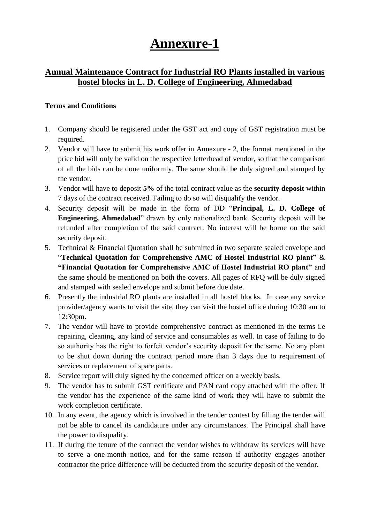# **Annexure-1**

### **Annual Maintenance Contract for Industrial RO Plants installed in various hostel blocks in L. D. College of Engineering, Ahmedabad**

#### **Terms and Conditions**

- 1. Company should be registered under the GST act and copy of GST registration must be required.
- 2. Vendor will have to submit his work offer in Annexure 2, the format mentioned in the price bid will only be valid on the respective letterhead of vendor, so that the comparison of all the bids can be done uniformly. The same should be duly signed and stamped by the vendor.
- 3. Vendor will have to deposit **5%** of the total contract value as the **security deposit** within 7 days of the contract received. Failing to do so will disqualify the vendor.
- 4. Security deposit will be made in the form of DD "**Principal, L. D. College of Engineering, Ahmedabad**" drawn by only nationalized bank. Security deposit will be refunded after completion of the said contract. No interest will be borne on the said security deposit.
- 5. Technical & Financial Quotation shall be submitted in two separate sealed envelope and "**Technical Quotation for Comprehensive AMC of Hostel Industrial RO plant"** & **"Financial Quotation for Comprehensive AMC of Hostel Industrial RO plant"** and the same should be mentioned on both the covers. All pages of RFQ will be duly signed and stamped with sealed envelope and submit before due date.
- 6. Presently the industrial RO plants are installed in all hostel blocks. In case any service provider/agency wants to visit the site, they can visit the hostel office during 10:30 am to 12:30pm.
- 7. The vendor will have to provide comprehensive contract as mentioned in the terms i.e repairing, cleaning, any kind of service and consumables as well. In case of failing to do so authority has the right to forfeit vendor's security deposit for the same. No any plant to be shut down during the contract period more than 3 days due to requirement of services or replacement of spare parts.
- 8. Service report will duly signed by the concerned officer on a weekly basis.
- 9. The vendor has to submit GST certificate and PAN card copy attached with the offer. If the vendor has the experience of the same kind of work they will have to submit the work completion certificate.
- 10. In any event, the agency which is involved in the tender contest by filling the tender will not be able to cancel its candidature under any circumstances. The Principal shall have the power to disqualify.
- 11. If during the tenure of the contract the vendor wishes to withdraw its services will have to serve a one-month notice, and for the same reason if authority engages another contractor the price difference will be deducted from the security deposit of the vendor.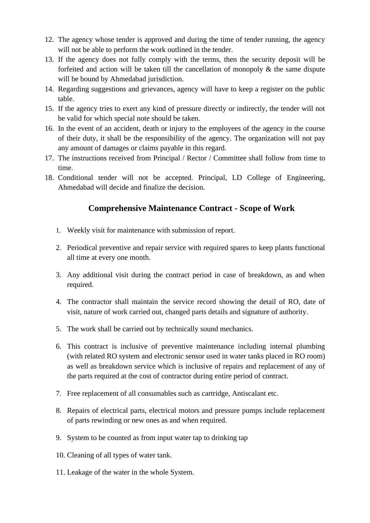- 12. The agency whose tender is approved and during the time of tender running, the agency will not be able to perform the work outlined in the tender.
- 13. If the agency does not fully comply with the terms, then the security deposit will be forfeited and action will be taken till the cancellation of monopoly  $\&$  the same dispute will be bound by Ahmedabad jurisdiction.
- 14. Regarding suggestions and grievances, agency will have to keep a register on the public table.
- 15. If the agency tries to exert any kind of pressure directly or indirectly, the tender will not be valid for which special note should be taken.
- 16. In the event of an accident, death or injury to the employees of the agency in the course of their duty, it shall be the responsibility of the agency. The organization will not pay any amount of damages or claims payable in this regard.
- 17. The instructions received from Principal / Rector / Committee shall follow from time to time.
- 18. Conditional tender will not be accepted. Principal, LD College of Engineering, Ahmedabad will decide and finalize the decision.

### **Comprehensive Maintenance Contract - Scope of Work**

- 1. Weekly visit for maintenance with submission of report.
- 2. Periodical preventive and repair service with required spares to keep plants functional all time at every one month.
- 3. Any additional visit during the contract period in case of breakdown, as and when required.
- 4. The contractor shall maintain the service record showing the detail of RO, date of visit, nature of work carried out, changed parts details and signature of authority.
- 5. The work shall be carried out by technically sound mechanics.
- 6. This contract is inclusive of preventive maintenance including internal plumbing (with related RO system and electronic sensor used in water tanks placed in RO room) as well as breakdown service which is inclusive of repairs and replacement of any of the parts required at the cost of contractor during entire period of contract.
- 7. Free replacement of all consumables such as cartridge, Antiscalant etc.
- 8. Repairs of electrical parts, electrical motors and pressure pumps include replacement of parts rewinding or new ones as and when required.
- 9. System to be counted as from input water tap to drinking tap
- 10. Cleaning of all types of water tank.
- 11. Leakage of the water in the whole System.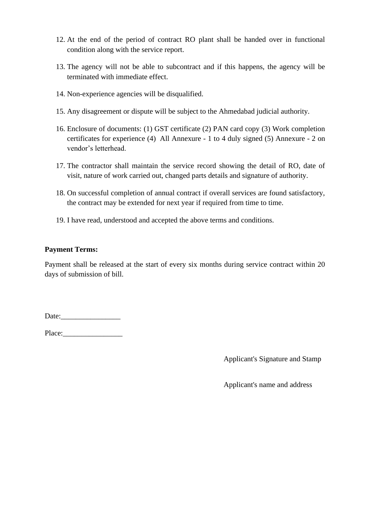- 12. At the end of the period of contract RO plant shall be handed over in functional condition along with the service report.
- 13. The agency will not be able to subcontract and if this happens, the agency will be terminated with immediate effect.
- 14. Non-experience agencies will be disqualified.
- 15. Any disagreement or dispute will be subject to the Ahmedabad judicial authority.
- 16. Enclosure of documents: (1) GST certificate (2) PAN card copy (3) Work completion certificates for experience (4) All Annexure - 1 to 4 duly signed (5) Annexure - 2 on vendor's letterhead.
- 17. The contractor shall maintain the service record showing the detail of RO, date of visit, nature of work carried out, changed parts details and signature of authority.
- 18. On successful completion of annual contract if overall services are found satisfactory, the contract may be extended for next year if required from time to time.
- 19. I have read, understood and accepted the above terms and conditions.

### **Payment Terms:**

Payment shall be released at the start of every six months during service contract within 20 days of submission of bill.

Date:\_\_\_\_\_\_\_\_\_\_\_\_\_\_\_\_

Place:\_\_\_\_\_\_\_\_\_\_\_\_\_\_\_\_

Applicant's Signature and Stamp

Applicant's name and address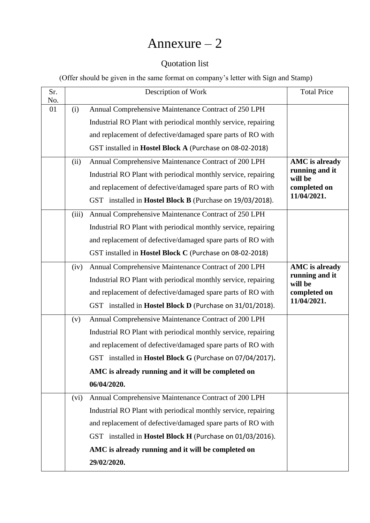# Annexure – 2

### Quotation list

(Offer should be given in the same format on company's letter with Sign and Stamp)

| Sr.       |       | Description of Work                                            | <b>Total Price</b>        |  |
|-----------|-------|----------------------------------------------------------------|---------------------------|--|
| No.<br>01 | (i)   | Annual Comprehensive Maintenance Contract of 250 LPH           |                           |  |
|           |       | Industrial RO Plant with periodical monthly service, repairing |                           |  |
|           |       | and replacement of defective/damaged spare parts of RO with    |                           |  |
|           |       | GST installed in Hostel Block A (Purchase on 08-02-2018)       |                           |  |
|           | (ii)  | Annual Comprehensive Maintenance Contract of 200 LPH           | <b>AMC</b> is already     |  |
|           |       | Industrial RO Plant with periodical monthly service, repairing | running and it<br>will be |  |
|           |       | and replacement of defective/damaged spare parts of RO with    | completed on              |  |
|           |       | GST installed in Hostel Block B (Purchase on 19/03/2018).      | 11/04/2021.               |  |
|           | (iii) | Annual Comprehensive Maintenance Contract of 250 LPH           |                           |  |
|           |       | Industrial RO Plant with periodical monthly service, repairing |                           |  |
|           |       | and replacement of defective/damaged spare parts of RO with    |                           |  |
|           |       | GST installed in Hostel Block C (Purchase on 08-02-2018)       |                           |  |
|           | (iv)  | Annual Comprehensive Maintenance Contract of 200 LPH           | <b>AMC</b> is already     |  |
|           |       | Industrial RO Plant with periodical monthly service, repairing | running and it<br>will be |  |
|           |       | and replacement of defective/damaged spare parts of RO with    | completed on              |  |
|           |       | GST installed in Hostel Block D (Purchase on 31/01/2018).      | 11/04/2021.               |  |
|           | (v)   | Annual Comprehensive Maintenance Contract of 200 LPH           |                           |  |
|           |       | Industrial RO Plant with periodical monthly service, repairing |                           |  |
|           |       | and replacement of defective/damaged spare parts of RO with    |                           |  |
|           |       | GST installed in Hostel Block G (Purchase on 07/04/2017).      |                           |  |
|           |       | AMC is already running and it will be completed on             |                           |  |
|           |       | 06/04/2020.                                                    |                           |  |
|           | (vi)  | Annual Comprehensive Maintenance Contract of 200 LPH           |                           |  |
|           |       | Industrial RO Plant with periodical monthly service, repairing |                           |  |
|           |       | and replacement of defective/damaged spare parts of RO with    |                           |  |
|           |       | GST installed in Hostel Block H (Purchase on 01/03/2016).      |                           |  |
|           |       | AMC is already running and it will be completed on             |                           |  |
|           |       | 29/02/2020.                                                    |                           |  |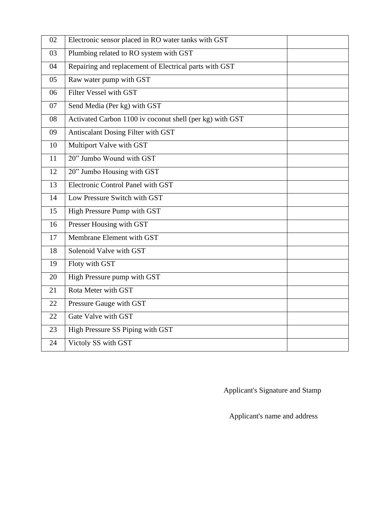| 02 | Electronic sensor placed in RO water tanks with GST      |  |
|----|----------------------------------------------------------|--|
| 03 | Plumbing related to RO system with GST                   |  |
| 04 | Repairing and replacement of Electrical parts with GST   |  |
| 05 | Raw water pump with GST                                  |  |
| 06 | Filter Vessel with GST                                   |  |
| 07 | Send Media (Per kg) with GST                             |  |
| 08 | Activated Carbon 1100 iv coconut shell (per kg) with GST |  |
| 09 | Antiscalant Dosing Filter with GST                       |  |
| 10 | Multiport Valve with GST                                 |  |
| 11 | 20" Jumbo Wound with GST                                 |  |
| 12 | 20" Jumbo Housing with GST                               |  |
| 13 | Electronic Control Panel with GST                        |  |
| 14 | Low Pressure Switch with GST                             |  |
| 15 | High Pressure Pump with GST                              |  |
| 16 | Presser Housing with GST                                 |  |
| 17 | Membrane Element with GST                                |  |
| 18 | Solenoid Valve with GST                                  |  |
| 19 | Floty with GST                                           |  |
| 20 | High Pressure pump with GST                              |  |
| 21 | Rota Meter with GST                                      |  |
| 22 | Pressure Gauge with GST                                  |  |
| 22 | Gate Valve with GST                                      |  |
| 23 | High Pressure SS Piping with GST                         |  |
| 24 | Victoly SS with GST                                      |  |

Applicant's Signature and Stamp

Applicant's name and address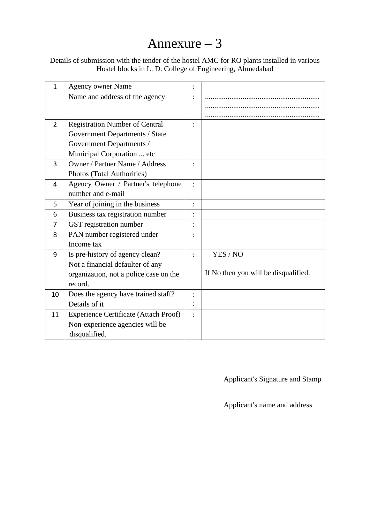# Annexure – 3

### Details of submission with the tender of the hostel AMC for RO plants installed in various Hostel blocks in L. D. College of Engineering, Ahmedabad

| $\mathbf{1}$ | <b>Agency owner Name</b>                     |                |                                      |
|--------------|----------------------------------------------|----------------|--------------------------------------|
|              | Name and address of the agency               |                |                                      |
|              |                                              |                |                                      |
|              |                                              |                |                                      |
| 2            | <b>Registration Number of Central</b>        |                |                                      |
|              | Government Departments / State               |                |                                      |
|              | Government Departments /                     |                |                                      |
|              | Municipal Corporation  etc                   |                |                                      |
| 3            | <b>Owner / Partner Name / Address</b>        |                |                                      |
|              | Photos (Total Authorities)                   |                |                                      |
| 4            | Agency Owner / Partner's telephone           |                |                                      |
|              | number and e-mail                            |                |                                      |
| 5            | Year of joining in the business              |                |                                      |
| 6            | Business tax registration number             |                |                                      |
| 7            | GST registration number                      |                |                                      |
| 8            | PAN number registered under                  |                |                                      |
|              | Income tax                                   |                |                                      |
| 9            | Is pre-history of agency clean?              | $\ddot{\cdot}$ | YES / NO                             |
|              | Not a financial defaulter of any             |                |                                      |
|              | organization, not a police case on the       |                | If No then you will be disqualified. |
|              | record.                                      |                |                                      |
| 10           | Does the agency have trained staff?          |                |                                      |
|              | Details of it                                |                |                                      |
| 11           | <b>Experience Certificate (Attach Proof)</b> |                |                                      |
|              | Non-experience agencies will be              |                |                                      |
|              | disqualified.                                |                |                                      |

Applicant's Signature and Stamp

Applicant's name and address